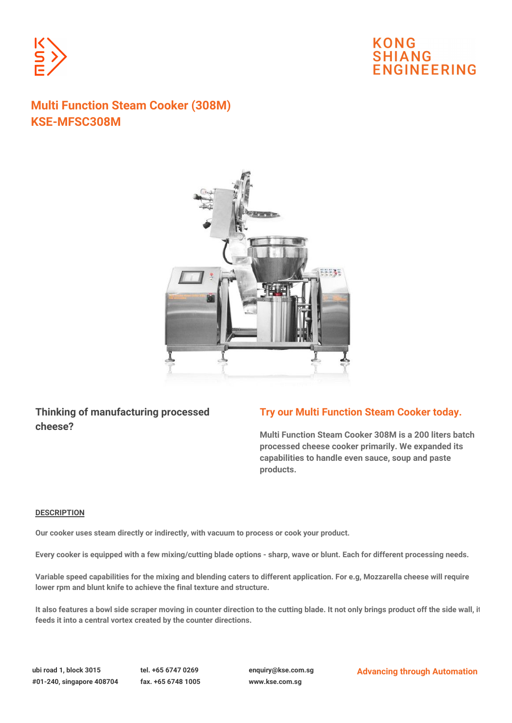

# **KONG SHIANG JGINEERING**

# **Multi Function Steam Cooker (308M) KSE-MFSC308M**



## **Thinking of manufacturing processed cheese?**

### **Try our Multi Function Steam Cooker today.**

**Multi Function Steam Cooker 308M is a 200 liters batch processed cheese cooker primarily. We expanded its capabilities to handle even sauce, soup and paste products.**

### **DESCRIPTION**

**Our cooker uses steam directly or indirectly, with vacuum to process or cook your product.**

**Every cooker is equipped with a few mixing/cutting blade options - sharp, wave or blunt. Each for different processing needs.**

**Variable speed capabilities for the mixing and blending caters to different application. For e.g, Mozzarella cheese will require lower rpm and blunt knife to achieve the final texture and structure.**

**It also features a bowl side scraper moving in counter direction to the cutting blade. It not only brings product off the side wall, it feeds it into a central vortex created by the counter directions.**

**ubi road 1, block 3015 tel. +65 6747 0269 enquiry@kse.com.sg Advancing through Automation**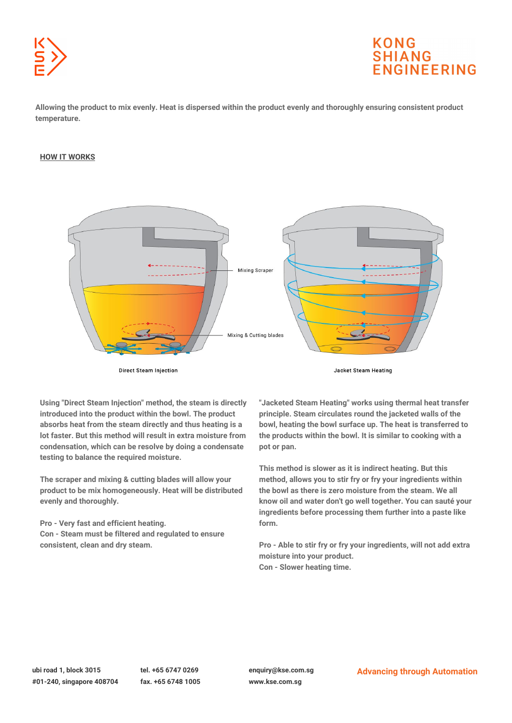

# **KONG SHIANG IGINFFRING**

**Allowing the product to mix evenly. Heat is dispersed within the product evenly and thoroughly ensuring consistent product temperature.**

#### **HOW IT WORKS**



**Direct Steam Injection** 

**Jacket Steam Heating** 

**Using "Direct Steam Injection" method, the steam is directly introduced into the product within the bowl. The product absorbs heat from the steam directly and thus heating is a lot faster. But this method will result in extra moisture from condensation, which can be resolve by doing a condensate testing to balance the required moisture.**

**The scraper and mixing & cutting blades will allow your product to be mix homogeneously. Heat will be distributed evenly and thoroughly.**

**Pro - Very fast and efficient heating. Con - Steam must be filtered and regulated to ensure consistent, clean and dry steam.**

**"Jacketed Steam Heating" works using thermal heat transfer principle. Steam circulates round the jacketed walls of the bowl, heating the bowl surface up. The heat is transferred to the products within the bowl. It is similar to cooking with a pot or pan.**

**This method is slower as it is indirect heating. But this method, allows you to stir fry or fry your ingredients within the bowl as there is zero moisture from the steam. We all know oil and water don't go well together. You can sauté your ingredients before processing them further into a paste like form.**

**Pro - Able to stir fry or fry your ingredients, will not add extra moisture into your product. Con - Slower heating time.**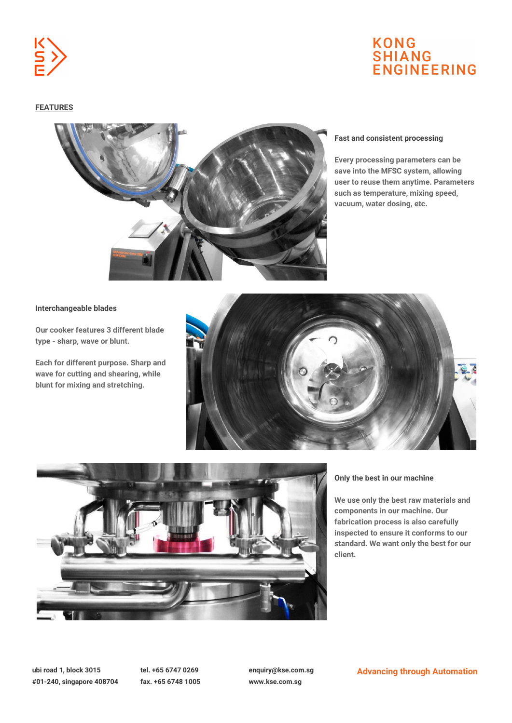

# **KONG SHIANG ENGINEERING**

### **FEATURES**



#### **Fast and consistent processing**

**Every processing parameters can be save into the MFSC system, allowing user to reuse them anytime. Parameters such as temperature, mixing speed, vacuum, water dosing, etc.**

#### **Interchangeable blades**

**Our cooker features 3 different blade type - sharp, wave or blunt.**

**Each for different purpose. Sharp and wave for cutting and shearing, while blunt for mixing and stretching.**





#### **Only the best in our machine**

**We use only the best raw materials and components in our machine. Our fabrication process is also carefully inspected to ensure it conforms to our standard. We want only the best for our client.**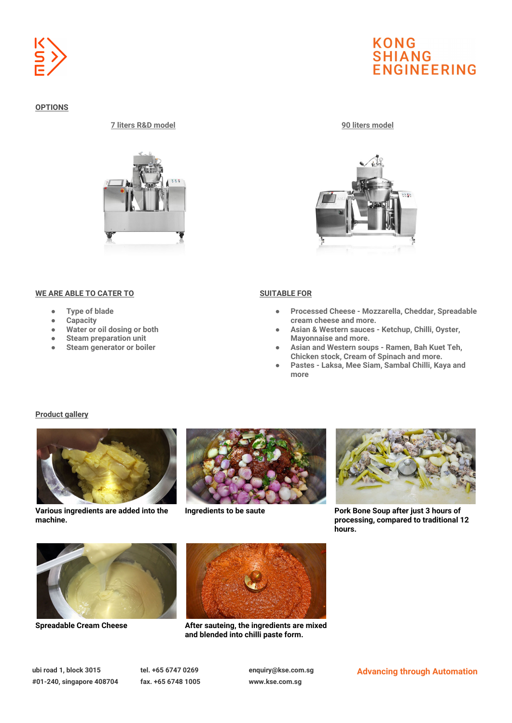

### **OPTIONS**

#### **7 liters R&D model 90 liters model**



### **WE ARE ABLE TO CATER TO <b>SUITABLE FOR**

- **Type of blade**
- **Capacity**
- **Water or oil dosing or both**
- **Steam preparation unit**
- **Steam generator or boiler**

# **KONG SHIANG ENGINEERING**



- **Processed Cheese Mozzarella, Cheddar, Spreadable cream cheese and more.**
- **Asian & Western sauces Ketchup, Chilli, Oyster, Mayonnaise and more.**
- **Asian and Western soups Ramen, Bah Kuet Teh, Chicken stock, Cream of Spinach and more.**
- **Pastes Laksa, Mee Siam, Sambal Chilli, Kaya and more**

#### **Product gallery**



**Various ingredients are added into the machine.**





**Ingredients to be saute Pork Bone Soup after just 3 hours of processing, compared to traditional 12 hours.**





**Spreadable Cream Cheese After sauteing, the ingredients are mixed and blended into chilli paste form.**